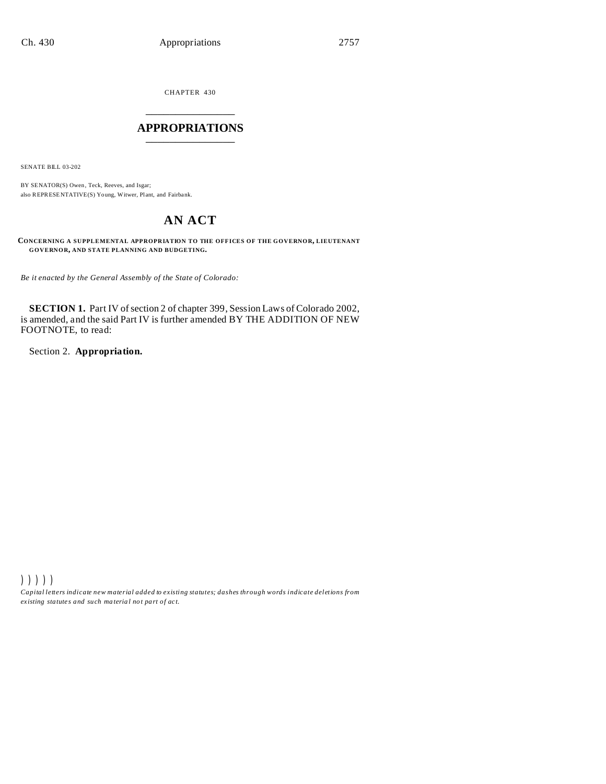CHAPTER 430 \_\_\_\_\_\_\_\_\_\_\_\_\_\_\_

#### **APPROPRIATIONS** \_\_\_\_\_\_\_\_\_\_\_\_\_\_\_

SENATE BILL 03-202

BY SENATOR(S) Owen , Teck, Reeves, and Isgar; also REPRESENTATIVE(S) Young, Witwer, Plant, and Fairbank.

## **AN ACT**

**CONCERNING A SUPPLEMENTAL APPROPRIATION TO THE OFFICES OF THE GOVERNOR, LIEUTENANT GOVERNOR, AND STATE PLANNING AND BUDGETING.**

*Be it enacted by the General Assembly of the State of Colorado:*

**SECTION 1.** Part IV of section 2 of chapter 399, Session Laws of Colorado 2002, is amended, and the said Part IV is further amended BY THE ADDITION OF NEW FOOTNOTE, to read:

Section 2. **Appropriation.**

))))) *Capital letters indicate new material added to existing statutes; dashes through words indicate deletions from ex isting statute s and such ma teria l no t pa rt of ac t.*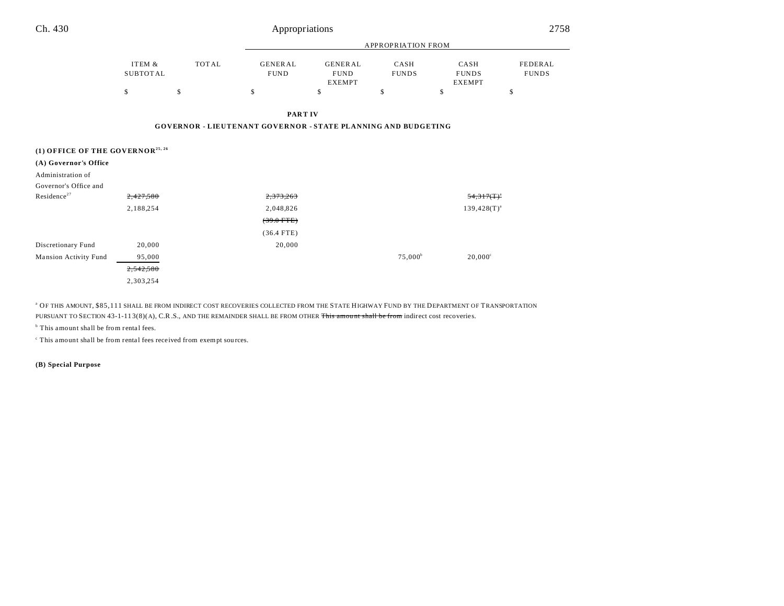| Ch. 430                                      | Appropriations     |              |                                                                      |                                                |                      |                                       | 2758                    |  |  |
|----------------------------------------------|--------------------|--------------|----------------------------------------------------------------------|------------------------------------------------|----------------------|---------------------------------------|-------------------------|--|--|
|                                              | APPROPRIATION FROM |              |                                                                      |                                                |                      |                                       |                         |  |  |
|                                              | ITEM &<br>SUBTOTAL | <b>TOTAL</b> | <b>GENERAL</b><br><b>FUND</b>                                        | <b>GENERAL</b><br><b>FUND</b><br><b>EXEMPT</b> | CASH<br><b>FUNDS</b> | CASH<br><b>FUNDS</b><br><b>EXEMPT</b> | FEDERAL<br><b>FUNDS</b> |  |  |
|                                              | \$                 | \$           | \$                                                                   | \$                                             | \$                   | \$                                    | \$                      |  |  |
|                                              |                    |              | PART IV                                                              |                                                |                      |                                       |                         |  |  |
|                                              |                    |              | <b>GOVERNOR - LIEUTENANT GOVERNOR - STATE PLANNING AND BUDGETING</b> |                                                |                      |                                       |                         |  |  |
| (1) OFFICE OF THE GOVERNOR <sup>25, 26</sup> |                    |              |                                                                      |                                                |                      |                                       |                         |  |  |
| (A) Governor's Office                        |                    |              |                                                                      |                                                |                      |                                       |                         |  |  |
| Administration of                            |                    |              |                                                                      |                                                |                      |                                       |                         |  |  |
| Governor's Office and                        |                    |              |                                                                      |                                                |                      |                                       |                         |  |  |
| Residence <sup>27</sup>                      | 2,427,580          |              | 2,373,263                                                            |                                                |                      | $54,317($ T $)^a$                     |                         |  |  |
|                                              | 2,188,254          |              | 2,048,826                                                            |                                                |                      | $139,428(T)^{a}$                      |                         |  |  |
|                                              |                    |              | $(39.0$ FTE)                                                         |                                                |                      |                                       |                         |  |  |
|                                              |                    |              | $(36.4$ FTE)                                                         |                                                |                      |                                       |                         |  |  |
| Discretionary Fund                           | 20,000             |              | 20,000                                                               |                                                |                      |                                       |                         |  |  |
| Mansion Activity Fund                        | 95,000             |              |                                                                      |                                                | $75,000^{\rm b}$     | $20,000^{\circ}$                      |                         |  |  |
|                                              | 2,542,580          |              |                                                                      |                                                |                      |                                       |                         |  |  |

a OF THIS AMOUNT, \$85,111 SHALL BE FROM INDIRECT COST RECOVERIES COLLECTED FROM THE STATE HIGHWAY FUND BY THE DEPARTMENT OF TRANSPORTATION PURSUANT TO SECTION 43-1-113(8)(A), C.R.S., AND THE REMAINDER SHALL BE FROM OTHER This amount shall be from indirect cost recoveries.

<sup>b</sup> This amount shall be from rental fees.

<sup>c</sup> This amount shall be from rental fees received from exempt sources.

2,303,254

**(B) Special Purpose**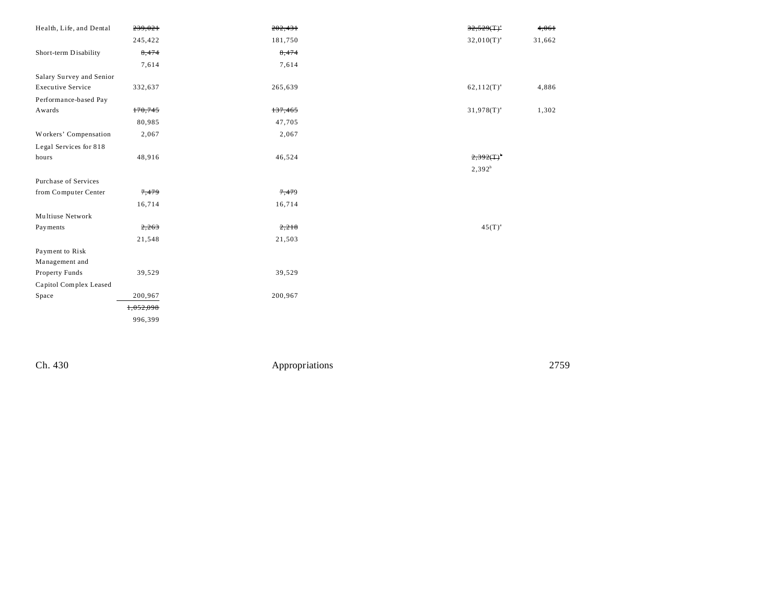| Health, Life, and Dental | 239,021   | 202,431 | $32,529(T)^{a}$          | 4,061  |
|--------------------------|-----------|---------|--------------------------|--------|
|                          | 245,422   | 181,750 | $32,010(T)^{a}$          | 31,662 |
| Short-term Disability    | 8,474     | 8,474   |                          |        |
|                          | 7,614     | 7,614   |                          |        |
| Salary Survey and Senior |           |         |                          |        |
| <b>Executive Service</b> | 332,637   | 265,639 | $62,112(T)^{a}$          | 4,886  |
| Performance-based Pay    |           |         |                          |        |
| Awards                   | 170,745   | 137,465 | $31,978(T)^{a}$          | 1,302  |
|                          | 80,985    | 47,705  |                          |        |
| Workers' Compensation    | 2,067     | 2,067   |                          |        |
| Legal Services for 818   |           |         |                          |        |
| hours                    | 48,916    | 46,524  | $2,392($ T) <sup>b</sup> |        |
|                          |           |         | $2,392^b$                |        |
| Purchase of Services     |           |         |                          |        |
| from Computer Center     | 7,479     | 7,479   |                          |        |
|                          | 16,714    | 16,714  |                          |        |
| Multiuse Network         |           |         |                          |        |
| Payments                 | 2,263     | 2,218   | $45(T)^{a}$              |        |
|                          | 21,548    | 21,503  |                          |        |
| Payment to Risk          |           |         |                          |        |
| Management and           |           |         |                          |        |
| Property Funds           | 39,529    | 39,529  |                          |        |
| Capitol Complex Leased   |           |         |                          |        |
| Space                    | 200,967   | 200,967 |                          |        |
|                          | 1,052,098 |         |                          |        |
|                          | 996,399   |         |                          |        |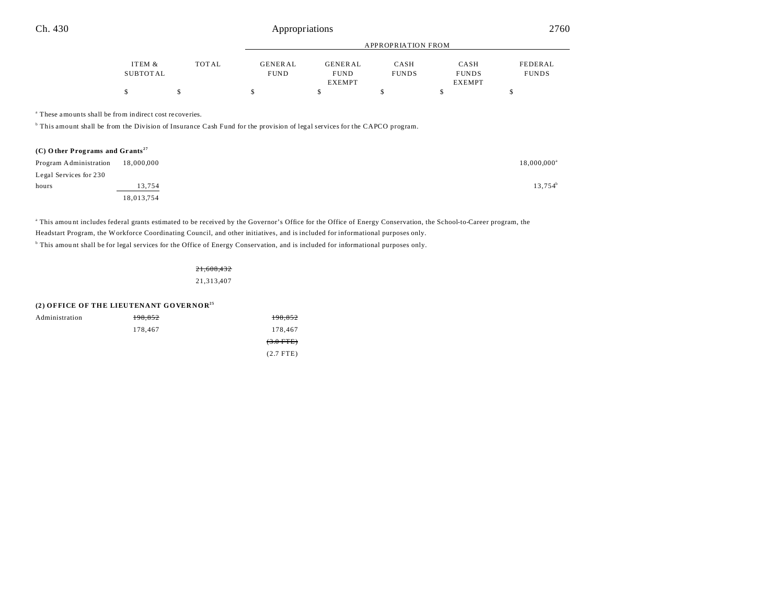|          |       |             | APPROPRIATION FROM |              |               |              |  |
|----------|-------|-------------|--------------------|--------------|---------------|--------------|--|
| ITEM &   | TOTAL | GENERAL     | GENERAL            | CASH         | CASH          | FEDERAL      |  |
| SUBTOTAL |       | <b>FUND</b> | <b>FUND</b>        | <b>FUNDS</b> | <b>FUNDS</b>  | <b>FUNDS</b> |  |
|          |       |             | <b>EXEMPT</b>      |              | <b>EXEMPT</b> |              |  |
|          |       |             |                    |              |               |              |  |

a These amounts shall be from indirect cost recoveries.

<sup>b</sup> This amount shall be from the Division of Insurance Cash Fund for the provision of legal services for the CAPCO program.

| $(C)$ Other Programs and Grants <sup>27</sup> |            |                      |  |
|-----------------------------------------------|------------|----------------------|--|
| Program Administration                        | 18,000,000 | $18,000,000^{\circ}$ |  |
| Legal Services for 230                        |            |                      |  |
| hours                                         | 13,754     | 13,754 <sup>b</sup>  |  |
|                                               | 18,013,754 |                      |  |

This amount includes federal grants estimated to be received by the Governor's Office for the Office of Energy Conservation, the School-to-Career program, the Headstart Program, the Workforce Coordinating Council, and other initiatives, and is included for informational purposes only. <sup>b</sup> This amount shall be for legal services for the Office of Energy Conservation, and is included for informational purposes only.

> 21,608,432 21,313,407

|                | (2) OFFICE OF THE LIEUTENANT GOVERNOR <sup>25</sup> |                |
|----------------|-----------------------------------------------------|----------------|
| Administration | 198,852                                             | 198,852        |
|                | 178,467                                             | 178,467        |
|                |                                                     | $(3.0$ FTE $)$ |
|                |                                                     | $(2.7$ FTE)    |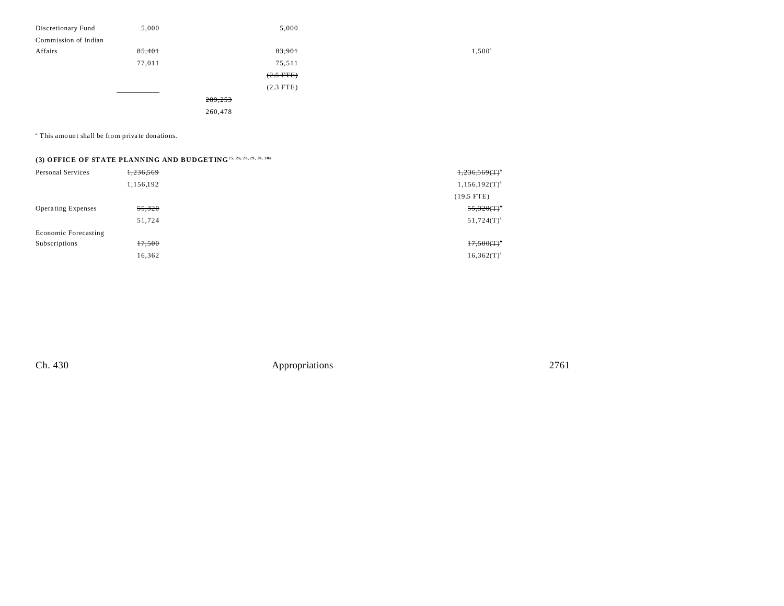| Discretionary Fund   | 5,000  | 5,000       |                 |
|----------------------|--------|-------------|-----------------|
| Commission of Indian |        |             |                 |
| Affairs              | 85,401 | 83,901      | $1,500^{\circ}$ |
|                      | 77,011 | 75,511      |                 |
|                      |        | $(2.5$ FTE) |                 |
|                      |        | $(2.3$ FTE) |                 |
|                      |        | 289,253     |                 |
|                      |        | 260,478     |                 |
|                      |        |             |                 |

<sup>a</sup> This amount shall be from private donations.

## **(3) OFFICE OF STATE PLANNING AND BUDGETING25, 26, 28, 29, 30, 30a**

| Personal Services           | 1,236,569 | 1,236,569(T)       |
|-----------------------------|-----------|--------------------|
|                             | 1,156,192 | $1,156,192(T)^{a}$ |
|                             |           | $(19.5$ FTE)       |
| <b>Operating Expenses</b>   | 55,320    | $55,320(T)^{4}$    |
|                             | 51,724    | $51,724(T)^{a}$    |
| <b>Economic Forecasting</b> |           |                    |
| Subscriptions               | 17,500    | $17,500(T)^{n}$    |
|                             | 16,362    | $16,362(T)^{a}$    |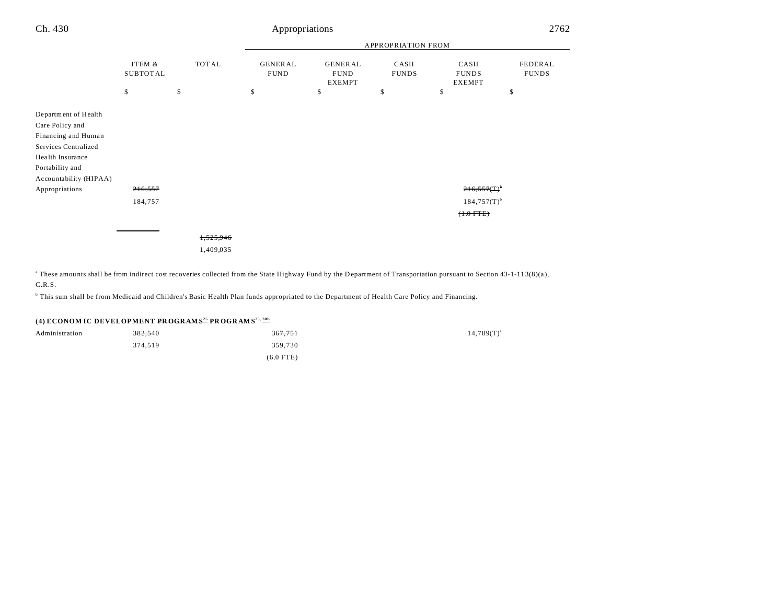| Ch. 430                                                                                                                                                 |                    |       | Appropriations<br>2762        |                                                |                      |                                             |                         |
|---------------------------------------------------------------------------------------------------------------------------------------------------------|--------------------|-------|-------------------------------|------------------------------------------------|----------------------|---------------------------------------------|-------------------------|
|                                                                                                                                                         |                    |       | APPROPRIATION FROM            |                                                |                      |                                             |                         |
|                                                                                                                                                         | ITEM &<br>SUBTOTAL | TOTAL | <b>GENERAL</b><br><b>FUND</b> | <b>GENERAL</b><br><b>FUND</b><br><b>EXEMPT</b> | CASH<br><b>FUNDS</b> | CASH<br><b>FUNDS</b><br><b>EXEMPT</b>       | FEDERAL<br><b>FUNDS</b> |
|                                                                                                                                                         | \$                 | \$    | \$                            | \$                                             | \$                   | \$                                          | \$                      |
| Department of Health<br>Care Policy and<br>Financing and Human<br>Services Centralized<br>Health Insurance<br>Portability and<br>Accountability (HIPAA) |                    |       |                               |                                                |                      |                                             |                         |
| Appropriations                                                                                                                                          | 216,557            |       |                               |                                                |                      | 216,557(T)                                  |                         |
|                                                                                                                                                         | 184,757            |       |                               |                                                |                      | $184,757(T)$ <sup>b</sup><br>$(+.0$ FTE $)$ |                         |

1,525,946 1,409,035

<sup>a</sup> These amounts shall be from indirect cost recoveries collected from the State Highway Fund by the Department of Transportation pursuant to Section 43-1-113(8)(a),

C.R.S.

b This sum shall be from Medicaid and Children's Basic Health Plan funds appropriated to the Department of Health Care Policy and Financing.

### **(4) ECONOM IC DEVELOPMENT PR OGR AM S<sup>25</sup> PR OGR AM S25, 30b**

| Administration | 382,540 | <del>367,751</del> | $14,789(T)^{a}$ |
|----------------|---------|--------------------|-----------------|
|                | 374.519 | 359,730            |                 |
|                |         | $(6.0$ FTE)        |                 |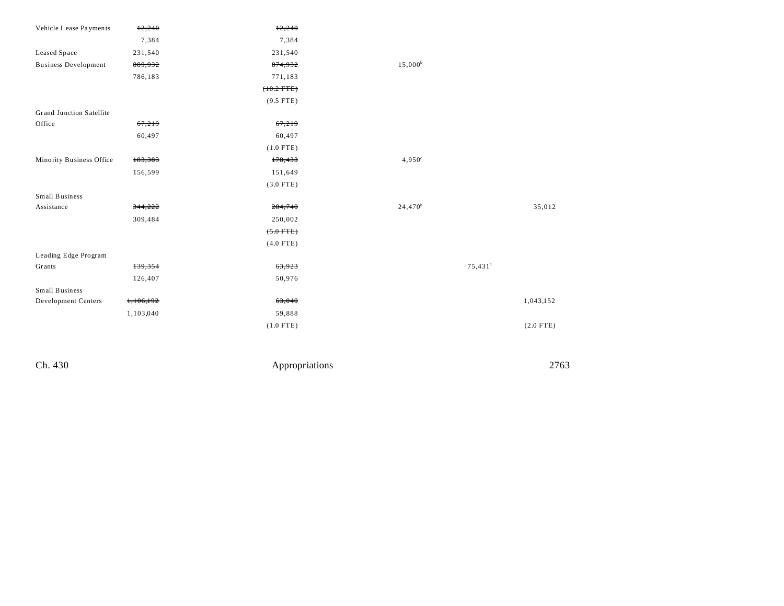| Vehicle Lease Payments      | 12,240    | 12,240       |                     |                       |             |
|-----------------------------|-----------|--------------|---------------------|-----------------------|-------------|
|                             | 7,384     | 7,384        |                     |                       |             |
| Leased Space                | 231,540   | 231,540      |                     |                       |             |
| <b>Business Development</b> | 889,932   | 874,932      | $15,000^{\rm b}$    |                       |             |
|                             | 786,183   | 771,183      |                     |                       |             |
|                             |           | $(+0.2$ FTE) |                     |                       |             |
|                             |           | $(9.5$ FTE)  |                     |                       |             |
| Grand Junction Satellite    |           |              |                     |                       |             |
| Office                      | 67,219    | 67,219       |                     |                       |             |
|                             | 60,497    | 60,497       |                     |                       |             |
|                             |           | $(1.0$ FTE)  |                     |                       |             |
| Minority Business Office    | 183,383   | 178,433      | $4,950^{\circ}$     |                       |             |
|                             | 156,599   | 151,649      |                     |                       |             |
|                             |           | $(3.0$ FTE)  |                     |                       |             |
| Small Business              |           |              |                     |                       |             |
| Assistance                  | 344,222   | 284,740      | 24,470 <sup>b</sup> |                       | 35,012      |
|                             | 309,484   | 250,002      |                     |                       |             |
|                             |           | $(5.0$ FTE)  |                     |                       |             |
|                             |           | $(4.0$ FTE)  |                     |                       |             |
| Leading Edge Program        |           |              |                     |                       |             |
| Grants                      | 139,354   | 63,923       |                     | $75,431$ <sup>d</sup> |             |
|                             | 126,407   | 50,976       |                     |                       |             |
| Small Business              |           |              |                     |                       |             |
| Development Centers         | 1,106,192 | 63,040       |                     |                       | 1,043,152   |
|                             | 1,103,040 | 59,888       |                     |                       |             |
|                             |           | $(1.0$ FTE)  |                     |                       | $(2.0$ FTE) |
|                             |           |              |                     |                       |             |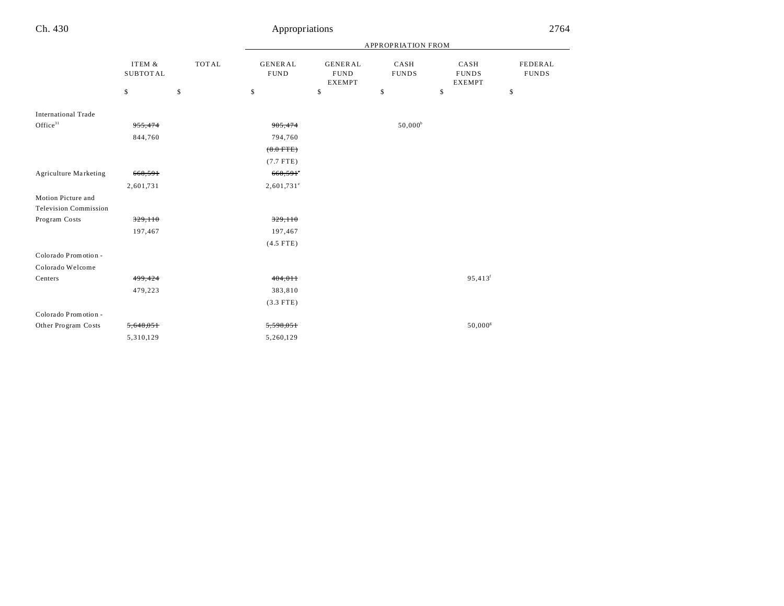|                              |                           |              |                                | APPROPRIATION FROM                             |                      |                                       |                                |
|------------------------------|---------------------------|--------------|--------------------------------|------------------------------------------------|----------------------|---------------------------------------|--------------------------------|
|                              | ITEM &<br><b>SUBTOTAL</b> | <b>TOTAL</b> | <b>GENERAL</b><br>${\rm FUND}$ | <b>GENERAL</b><br><b>FUND</b><br><b>EXEMPT</b> | CASH<br><b>FUNDS</b> | CASH<br><b>FUNDS</b><br><b>EXEMPT</b> | <b>FEDERAL</b><br><b>FUNDS</b> |
|                              | \$                        | \$           | \$                             | \$                                             | \$                   | \$                                    | \$                             |
| <b>International Trade</b>   |                           |              |                                |                                                |                      |                                       |                                |
| Office $31$                  | 955,474                   |              | 905,474                        |                                                | $50,000^{\rm b}$     |                                       |                                |
|                              | 844,760                   |              | 794,760                        |                                                |                      |                                       |                                |
|                              |                           |              | $(8.0$ FTE)                    |                                                |                      |                                       |                                |
|                              |                           |              | $(7.7$ FTE)                    |                                                |                      |                                       |                                |
| <b>Agriculture Marketing</b> | 668,591                   |              | 668,591°                       |                                                |                      |                                       |                                |
|                              | 2,601,731                 |              | $2,601,731$ <sup>e</sup>       |                                                |                      |                                       |                                |
| Motion Picture and           |                           |              |                                |                                                |                      |                                       |                                |
| <b>Television Commission</b> |                           |              |                                |                                                |                      |                                       |                                |
| Program Costs                | 329,110                   |              | 329,110                        |                                                |                      |                                       |                                |
|                              | 197,467                   |              | 197,467                        |                                                |                      |                                       |                                |
|                              |                           |              | $(4.5$ FTE)                    |                                                |                      |                                       |                                |
| Colorado Promotion -         |                           |              |                                |                                                |                      |                                       |                                |
| Colorado Welcome             |                           |              |                                |                                                |                      |                                       |                                |
| Centers                      | 499,424                   |              | 404,011                        |                                                |                      | $95,413$ <sup>f</sup>                 |                                |
|                              | 479,223                   |              | 383,810                        |                                                |                      |                                       |                                |
|                              |                           |              | $(3.3$ FTE)                    |                                                |                      |                                       |                                |
| Colorado Promotion -         |                           |              |                                |                                                |                      |                                       |                                |
| Other Program Costs          | 5,648,051                 |              | 5,598,05+                      |                                                |                      | $50,000^{\rm g}$                      |                                |
|                              | 5,310,129                 |              | 5,260,129                      |                                                |                      |                                       |                                |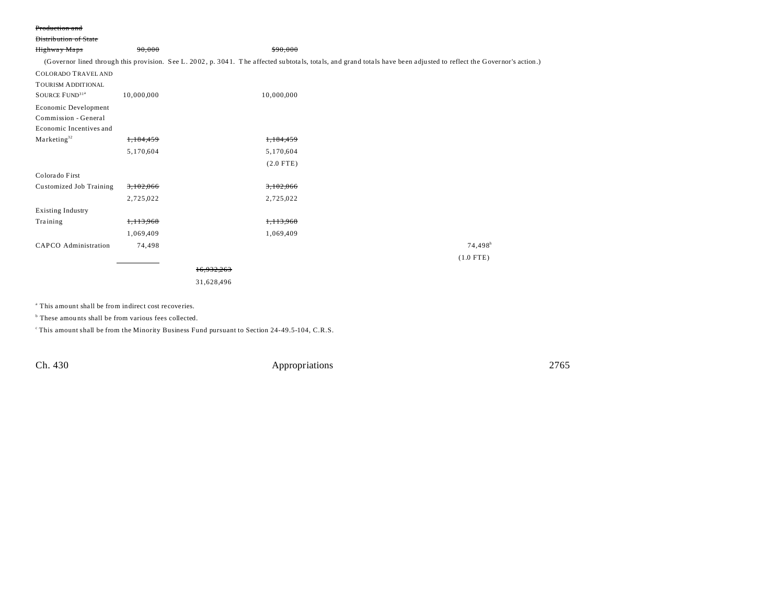#### Production and

| Distribution of State      |            |            |             |                                                                                                                                                                      |                       |  |
|----------------------------|------------|------------|-------------|----------------------------------------------------------------------------------------------------------------------------------------------------------------------|-----------------------|--|
| Highway Maps               | 90,000     |            | \$90,000    |                                                                                                                                                                      |                       |  |
|                            |            |            |             | (Governor lined through this provision. See L. 2002, p. 3041. The affected subtotals, totals, and grand totals have been adjusted to reflect the Governor's action.) |                       |  |
| <b>COLORADO TRAVEL AND</b> |            |            |             |                                                                                                                                                                      |                       |  |
| <b>TOURISM ADDITIONAL</b>  |            |            |             |                                                                                                                                                                      |                       |  |
| SOURCE FUND <sup>31a</sup> | 10,000,000 |            | 10,000,000  |                                                                                                                                                                      |                       |  |
| Economic Development       |            |            |             |                                                                                                                                                                      |                       |  |
| Commission - General       |            |            |             |                                                                                                                                                                      |                       |  |
| Economic Incentives and    |            |            |             |                                                                                                                                                                      |                       |  |
| Marketing <sup>32</sup>    | 1,184,459  |            | 1,184,459   |                                                                                                                                                                      |                       |  |
|                            | 5,170,604  |            | 5,170,604   |                                                                                                                                                                      |                       |  |
|                            |            |            | $(2.0$ FTE) |                                                                                                                                                                      |                       |  |
| Colorado First             |            |            |             |                                                                                                                                                                      |                       |  |
| Customized Job Training    | 3,102,066  |            | 3,102,066   |                                                                                                                                                                      |                       |  |
|                            | 2,725,022  |            | 2,725,022   |                                                                                                                                                                      |                       |  |
| <b>Existing Industry</b>   |            |            |             |                                                                                                                                                                      |                       |  |
| Training                   | 1,113,968  |            | 1,113,968   |                                                                                                                                                                      |                       |  |
|                            | 1,069,409  |            | 1,069,409   |                                                                                                                                                                      |                       |  |
| CAPCO Administration       | 74,498     |            |             |                                                                                                                                                                      | $74,498$ <sup>h</sup> |  |
|                            |            |            |             |                                                                                                                                                                      | $(1.0$ FTE)           |  |
|                            |            | 16.932.263 |             |                                                                                                                                                                      |                       |  |
|                            |            | 31,628,496 |             |                                                                                                                                                                      |                       |  |
|                            |            |            |             |                                                                                                                                                                      |                       |  |

a This amount shall be from indirect cost recoveries.

<sup>b</sup> These amounts shall be from various fees collected.

<sup>c</sup>This amount shall be from the Minority Business Fund pursuant to Section 24-49.5-104, C.R.S.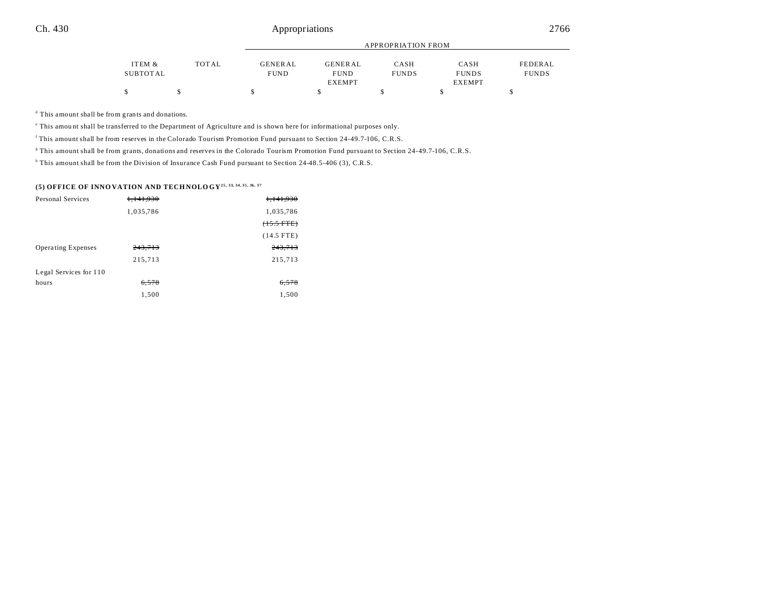|          |       |             | APPROPRIATION FROM |              |               |              |  |
|----------|-------|-------------|--------------------|--------------|---------------|--------------|--|
|          |       |             |                    |              |               |              |  |
| ITEM &   | TOTAL | GENERAL     | GENERAL            | CASH         | CASH          | FEDERAL      |  |
| SUBTOTAL |       | <b>FUND</b> | <b>FUND</b>        | <b>FUNDS</b> | <b>FUNDS</b>  | <b>FUNDS</b> |  |
|          |       |             | <b>EXEMPT</b>      |              | <b>EXEMPT</b> |              |  |
|          |       |             |                    |              |               |              |  |

d This amount shall be from grants and donations.

e This amou nt shall be transferred to the Department of Agriculture and is shown here for informational purposes only.

f This amount shall be from reserves in the Colorado Tourism Promotion Fund pursuant to Section 24-49.7-106, C.R.S.

g This amount shall be from grants, donations and reserves in the Colorado Tourism Promotion Fund pursuant to Section 24-49.7-106, C.R.S.

<sup>h</sup> This amount shall be from the Division of Insurance Cash Fund pursuant to Section 24-48.5-406 (3), C.R.S.

#### **(5) OFFICE OF INNO VATION AND TECH NOLO GY25, 33, 34, 35, 36, 37**

| Personal Services         | <del>1,141,930</del> | 1,141,930            |
|---------------------------|----------------------|----------------------|
|                           | 1,035,786            | 1,035,786            |
|                           |                      | $(15.5 \text{ FTE})$ |
|                           |                      | $(14.5$ FTE)         |
| <b>Operating Expenses</b> | 243,713              | 243,713              |
|                           | 215,713              | 215,713              |
| Legal Services for 110    |                      |                      |
| hours                     | 6,578                | 6,578                |
|                           | 1,500                | 1,500                |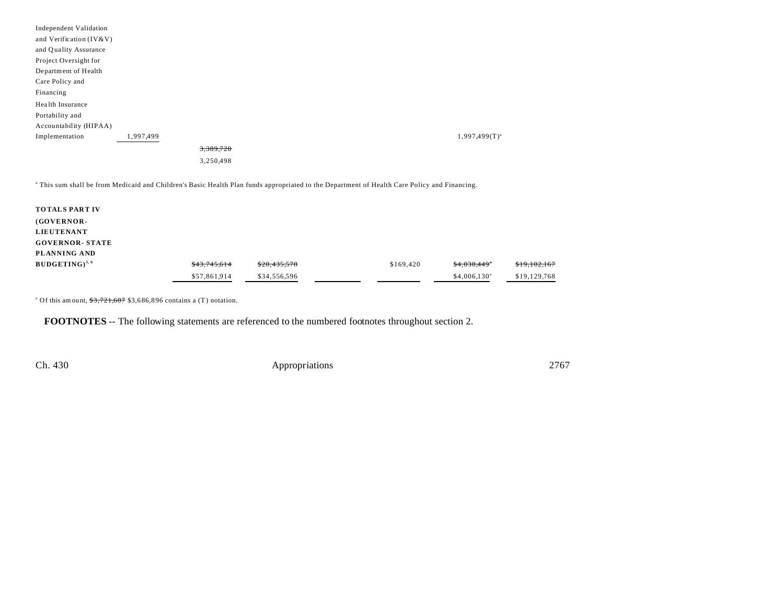| Independent Validation  |           |           |                    |
|-------------------------|-----------|-----------|--------------------|
| and Verification (IV&V) |           |           |                    |
| and Quality Assurance   |           |           |                    |
| Project Oversight for   |           |           |                    |
| Department of Health    |           |           |                    |
| Care Policy and         |           |           |                    |
| Financing               |           |           |                    |
| Health Insurance        |           |           |                    |
| Portability and         |           |           |                    |
| Accountability (HIPAA)  |           |           |                    |
| Implementation          | 1,997,499 |           | $1,997,499(T)^{a}$ |
|                         |           | 3,389,720 |                    |
|                         |           | 3,250,498 |                    |

a This sum shall be from Medicaid and Children's Basic Health Plan funds appropriated to the Department of Health Care Policy and Financing.

| \$43,745,614 | \$20,435,578 | \$169,420 | \$4.038.449"         | \$19,102,167 |
|--------------|--------------|-----------|----------------------|--------------|
| \$57,861,914 | \$34,556,596 |           | $$4,006,130^{\circ}$ | \$19,129,768 |
|              |              |           |                      |              |

<sup>a</sup> Of this amount,  $\frac{$3,721,607}{0.806,896}$  contains a (T) notation.

**FOOTNOTES** -- The following statements are referenced to the numbered footnotes throughout section 2.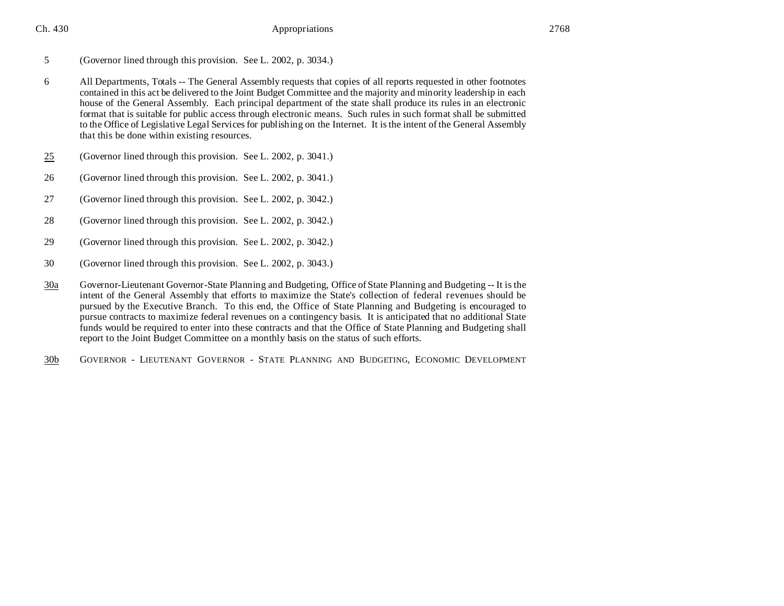Ch. 430 **Ch.** 2768 **Appropriations** 2768

- 5 (Governor lined through this provision. See L. 2002, p. 3034.)
- 6 All Departments, Totals -- The General Assembly requests that copies of all reports requested in other footnotes contained in this act be delivered to the Joint Budget Committee and the majority and minority leadership in each house of the General Assembly. Each principal department of the state shall produce its rules in an electronic format that is suitable for public access through electronic means. Such rules in such format shall be submitted to the Office of Legislative Legal Services for publishing on the Internet. It is the intent of the General Assembly that this be done within existing resources.
- 25 (Governor lined through this provision. See L. 2002, p. 3041.)
- 26 (Governor lined through this provision. See L. 2002, p. 3041.)
- 27 (Governor lined through this provision. See L. 2002, p. 3042.)
- 28 (Governor lined through this provision. See L. 2002, p. 3042.)
- 29 (Governor lined through this provision. See L. 2002, p. 3042.)
- 30 (Governor lined through this provision. See L. 2002, p. 3043.)
- 30a Governor-Lieutenant Governor-State Planning and Budgeting, Office of State Planning and Budgeting -- It is the intent of the General Assembly that efforts to maximize the State's collection of federal revenues should be pursued by the Executive Branch. To this end, the Office of State Planning and Budgeting is encouraged to pursue contracts to maximize federal revenues on a contingency basis. It is anticipated that no additional State funds would be required to enter into these contracts and that the Office of State Planning and Budgeting shall report to the Joint Budget Committee on a monthly basis on the status of such efforts.
- 30b GOVERNOR LIEUTENANT GOVERNOR STATE PLANNING AND BUDGETING, ECONOMIC DEVELOPMENT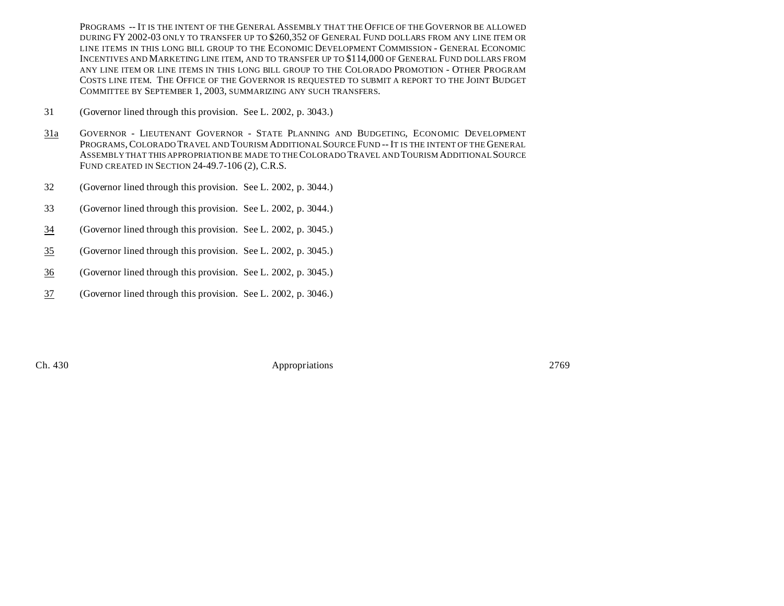PROGRAMS -- IT IS THE INTENT OF THE GENERAL ASSEMBLY THAT THE OFFICE OF THE GOVERNOR BE ALLOWED DURING FY 2002-03 ONLY TO TRANSFER UP TO \$260,352 OF GENERAL FUND DOLLARS FROM ANY LINE ITEM OR LINE ITEMS IN THIS LONG BILL GROUP TO THE ECONOMIC DEVELOPMENT COMMISSION - GENERAL ECONOMIC INCENTIVES AND MARKETING LINE ITEM, AND TO TRANSFER UP TO \$114,000 OF GENERAL FUND DOLLARS FROM ANY LINE ITEM OR LINE ITEMS IN THIS LONG BILL GROUP TO THE COLORADO PROMOTION - OTHER PROGRAM COSTS LINE ITEM. THE OFFICE OF THE GOVERNOR IS REQUESTED TO SUBMIT A REPORT TO THE JOINT BUDGET COMMITTEE BY SEPTEMBER 1, 2003, SUMMARIZING ANY SUCH TRANSFERS.

- 31 (Governor lined through this provision. See L. 2002, p. 3043.)
- 31a GOVERNOR LIEUTENANT GOVERNOR STATE PLANNING AND BUDGETING, ECONOMIC DEVELOPMENT PROGRAMS,COLORADO TRAVEL AND TOURISM ADDITIONAL SOURCE FUND -- IT IS THE INTENT OF THE GENERAL ASSEMBLY THAT THIS APPROPRIATION BE MADE TO THE COLORADO TRAVEL AND TOURISM ADDITIONAL SOURCE FUND CREATED IN SECTION 24-49.7-106 (2), C.R.S.
- 32 (Governor lined through this provision. See L. 2002, p. 3044.)
- 33 (Governor lined through this provision. See L. 2002, p. 3044.)
- 34 (Governor lined through this provision. See L. 2002, p. 3045.)
- 35 (Governor lined through this provision. See L. 2002, p. 3045.)
- 36 (Governor lined through this provision. See L. 2002, p. 3045.)
- 37 (Governor lined through this provision. See L. 2002, p. 3046.)